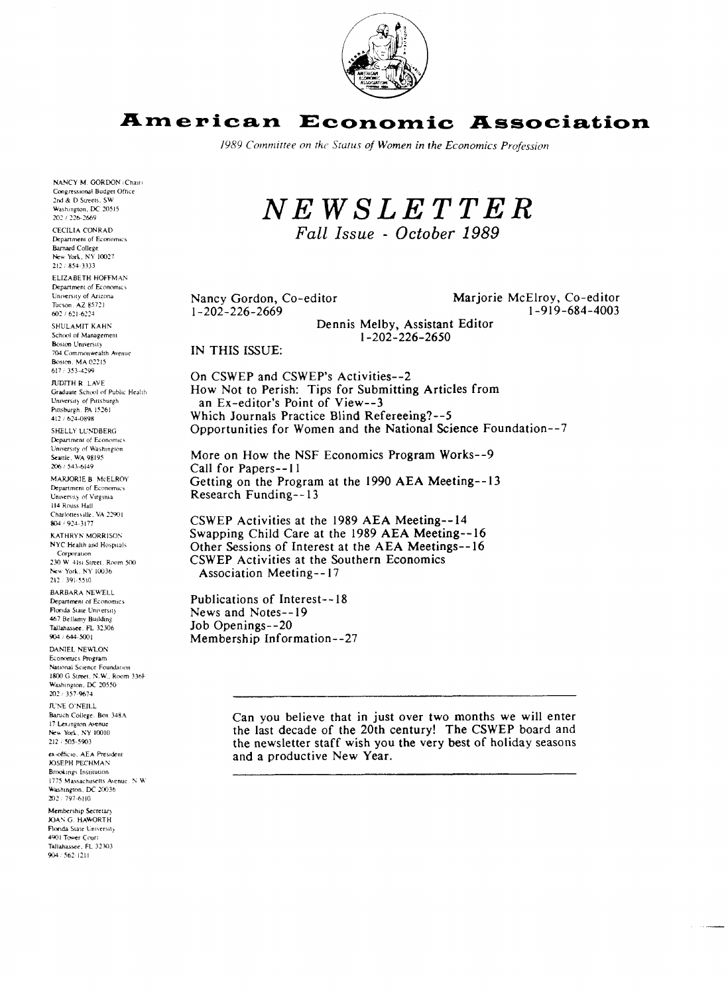

#### American **Economic Association**

1989 Committee on the Status of Women in the Economics Profession

NANCY M. GORDON (Chair) Congressional Budget Office 2nd & D Streets, SW Washington, DC 20515 202 / 226-2669 CECILIA CONRAD

Department of Economics Barnard College New York, NY 10027 212 / 854-3333

ELIZABETH HOFFMAN Department of Economics University of Arizona Tucson. AZ 85721 602 / 621-6224

SHULAMIT KAHN School of Management **Boston University** 704 Commonwealth Avenue Boston, MA 02215 617 / 353-4299

JUDITH R. LAVE Graduate School of Public Health University of Pittsburgh Pittsburgh. PA 15261 412 / 624-0898

SHELLY LUNDBERG Department of Economics University of Washington Seattle, WA 98195 206 / 543-6149

MARJORIE B. McELROY Department of Economics University of Virginia 114 Rouss Hall Charlottesville, VA 22901 804 / 924-3177

KATHRYN MORRISON NYC Health and Hospitals Corporation 230 W 41st Street, Room 500 New York, NY 10036 212 / 391-5510

**BARBARA NEWELL** Department of Economics Florida State University 467 Bellamy Building Tallahassee, FL 32306 904 / 644-5001

DANIEL NEWLON Economics Program National Science Foundation 1800 G Street, N.W., Room 336F Washington, DC 20550<br>202 / 357-9674 **JUNE O'NEILL** Baruch College. Box 348A 17 Lexington Avenue New York, NY 10010 212 / 505-5903

ex-officio. AEA President **JOSEPH PECHMAN Brookings** Institution 1775 Massachusetts Avenue, N.W. Washington, DC 20036 202 / 797-6110

Membership Secretary JOAN G. HAWORTH Flonda State University 4901 Tower Court Tallahassee, FL 32303  $904/562-1211$ 

 $N E W S L E T T E R$ 

Fall Issue - October 1989

Nancy Gordon, Co-editor  $1 - 202 - 226 - 2669$ 

Marjorie McElroy, Co-editor 1-919-684-4003

Dennis Melby, Assistant Editor  $1 - 202 - 226 - 2650$ 

IN THIS ISSUE:

On CSWEP and CSWEP's Activities--2 How Not to Perish: Tips for Submitting Articles from an Ex-editor's Point of View--3 Which Journals Practice Blind Refereeing?--5 Opportunities for Women and the National Science Foundation--7

More on How the NSF Economics Program Works--9 Call for Papers--11 Getting on the Program at the 1990 AEA Meeting--13 Research Funding--13

CSWEP Activities at the 1989 AEA Meeting--14 Swapping Child Care at the 1989 AEA Meeting--16 Other Sessions of Interest at the AEA Meetings--16 CSWEP Activities at the Southern Economics **Association Meeting--17** 

Publications of Interest--18 News and Notes--19 Job Openings--20 Membership Information--27

> Can you believe that in just over two months we will enter the last decade of the 20th century! The CSWEP board and the newsletter staff wish you the very best of holiday seasons and a productive New Year.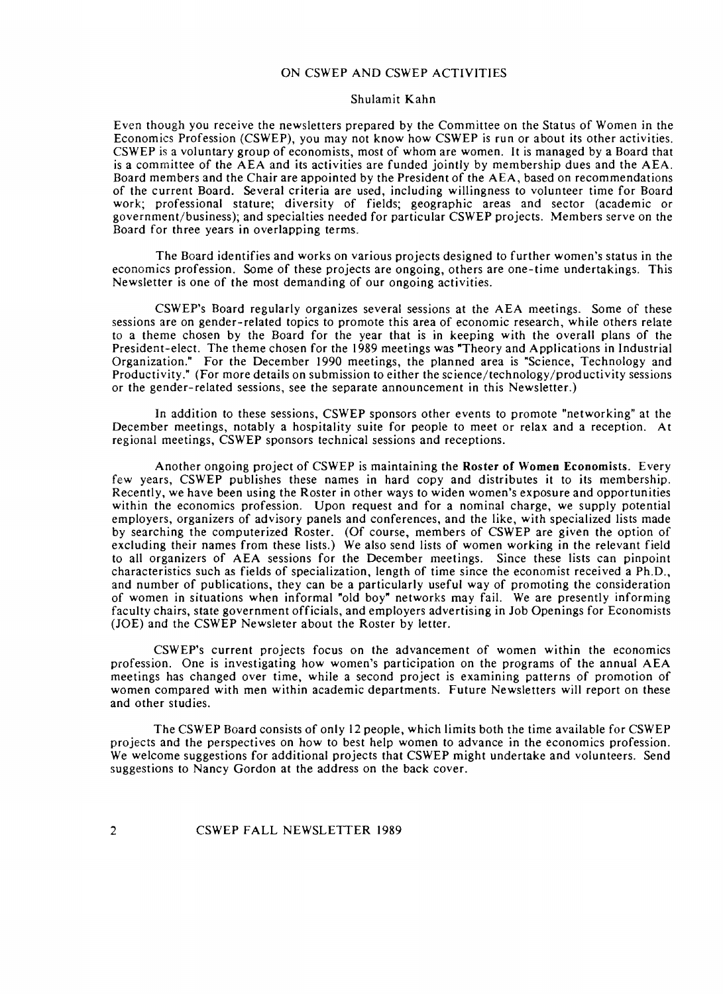### ON CSWEP AND CSWEP ACTIVITIES

#### Shulamit Kahn

Even though you receive the newsletters prepared by the Committee on the Status of Women in the Economics Profession (CSWEP), you may not know how CSWEP is run or about its other activities. CSWEP is a voluntary group of economists, most of whom are women. It is managed by a Board that is a committee of the AEA and its activities are funded jointly by membership dues and the AEA. Board members and the Chair are appointed by the President of the AEA, based on recommendations of the current Board. Several criteria are used, including willingness to volunteer time for Board work; professional stature; diversity of fields; geographic areas and sector (academic or government/business); and specialties needed for particular CSWEP projects. Members serve on the Board for three years in overlapping terms.

The Board identifies and works on various projects designed to further women's status in the economics profession. Some of these projects are ongoing, others are one-time undertakings. This Newsletter is one of the most demanding of our ongoing activities.

CSWEP's Board regularly organizes several sessions at the AEA meetings. Some of these sessions are on gender-related topics to promote this area of economic research, while others relate to a theme chosen by the Board for the year that is in keeping with the overall plans of the President-elect. The theme chosen for the 1989 meetings was "Theory and Applications in Industrial Organization." For the December 1990 meetings, the planned area is "Science, Technology and Productivity." (For more details on submission to either the **science/technology/productivity** sessions or the gender-related sessions, see the separate announcement in this Newsletter.)

In addition to these sessions, CSWEP sponsors other events to promote "networking" at the December meetings, notably a hospitality suite for people to meet or relax and a reception. At regional meetings, CSWEP sponsors technical sessions and receptions.

Another ongoing project of CSWEP is maintaining the Roster of Women Economists. Every few years, CSWEP publishes these names in hard copy and distributes it to its membership. Recently, we have been using the Roster in other ways to widen women's exposure and opportunities within the economics profession. Upon request and for a nominal charge, we supply potential employers, organizers of advisory panels and conferences, and the like, with specialized lists made by searching the computerized Roster. (Of course, members of CSWEP are given the option of excluding their names from these lists.) We also send lists of women working in the relevant field to all organizers of AEA sessions for the December meetings. Since these lists can pinpoint characteristics such as fields of specialization, length of time since the economist received a Ph.D., and number of publications, they can be a particularly useful way of promoting the consideration of women in situations when informal "old boy" networks may fail. We are presently informing faculty chairs, state government officials, and employers advertising in Job Openings for Economists (JOE) and the CSWEP Newsleter about the Roster by letter.

CSWEP's current projects focus on the advancement of women within the economics profession. One is investigating how women's participation on the programs of the annual AEA meetings has changed over time, while a second project is examining patterns of promotion of women compared with men within academic departments. Future Newsletters will report on these and other studies.

The CSWEP Board consists of only I2 people, which limits both the time available for CSWEP projects and the perspectives on how to best help women to advance in the economics profession. We welcome suggestions for additional projects that CSWEP might undertake and volunteers. Send suggestions to Nancy Gordon at the address on the back cover.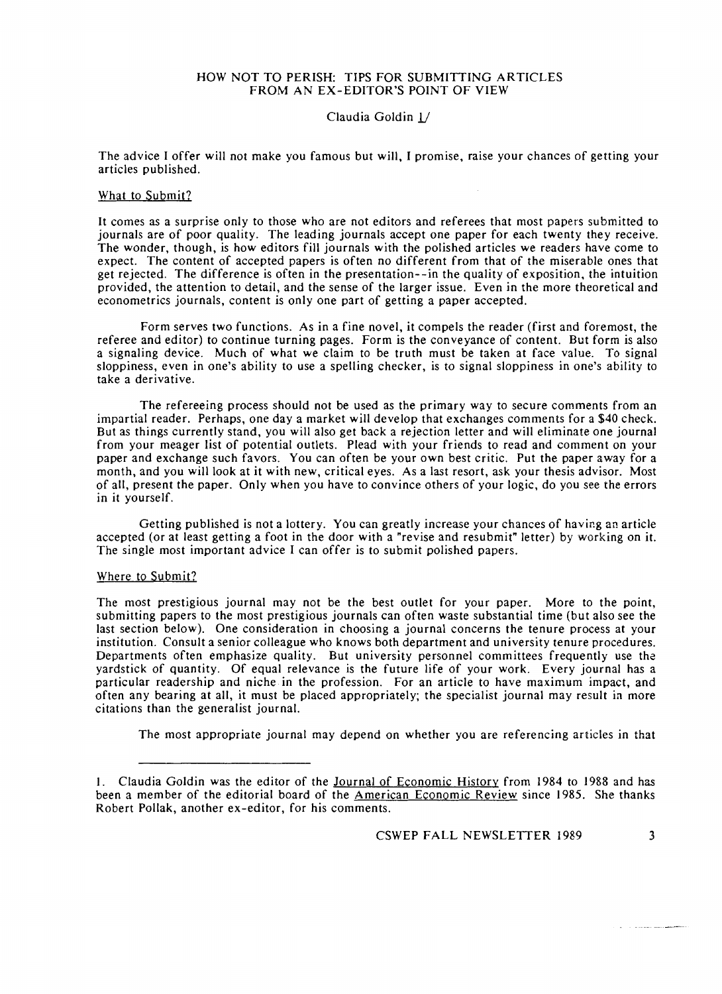### HOW NOT TO PERISH: TIPS FOR SUBMITTING ARTICLES FROM AN EX-EDITOR'S POINT OF VIEW

### Claudia Goldin *U*

The advice I offer will not make you famous but will, I promise, raise your chances of getting your articles published.

### What to Submit?

It comes as a surprise only to those who are not editors and referees that most papers submitted to journals are of poor quality. The leading journals accept one paper for each twenty they receive. The wonder, though, is how editors fill journals with the polished articles we readers have come to expect. The content of accepted papers is often no different from that of the miserable ones that get rejected. The difference is often in the presentation--in the quality of exposition, the intuition provided, the attention to detail, and the sense of the larger issue. Even in the more theoretical and econometrics journals, content is only one part of getting a paper accepted.

Form serves two functions. As in a fine novel, it compels the reader (first and foremost, the referee and editor) to continue turning pages. Form is the conveyance of content. But form is also a signaling device. Much of what we claim to be truth must be taken at face value. To signal sloppiness, even in one's ability to use a spelling checker, is to signal sloppiness in one's ability to take a derivative.

The refereeing process should not be used as the primary way to secure comments from an impartial reader. Perhaps, one day a market will develop that exchanges comments for a \$40 check. But as things currently stand, you will also get back a rejection letter and will eliminate one journal from your meager list of potential outlets. Plead with your friends to read and comment on your paper and exchange such favors. You can often be your own best critic. Put the paper away for a month, and you will look at it with new, critical eyes. As a last resort, ask your thesis advisor. Most of all, present the paper. Only when you have to convince others of your logic, do you see the errors in it yourself.

Getting published is not a lottery. You can greatly increase your chances of having an article accepted (or at least getting a foot in the door with a "revise and resubmit" letter) by working on it. The single most important advice I can offer is to submit polished papers.

### Where to Submit?

The most prestigious journal may not be the best outlet for your paper. More to the point, submitting papers to the most prestigious journals can often waste substantial time (but also see the last section below). One consideration in choosing a journal concerns the tenure process at your institution. Consult a senior colleague who knows both department and university tenure procedures. Departments often emphasize quality. But university personnel committees frequently use the yardstick of quantity. Of equal relevance is the future life of your work. Every journal has a particular readership and niche.in the profession. For an article to have maximum impact, and often any bearing at all, it must be placed appropriately; the specialist journal may result in more citations than the generalist journal.

The most appropriate journal may depend on whether you are referencing articles in that

<sup>1.</sup> Claudia Goldin was the editor of the Journal of Economic History from 1984 to 1988 and has been a member of the editorial board of the American Economic Review since 1985. She thanks Robert Pollak, another ex-editor, for his comments.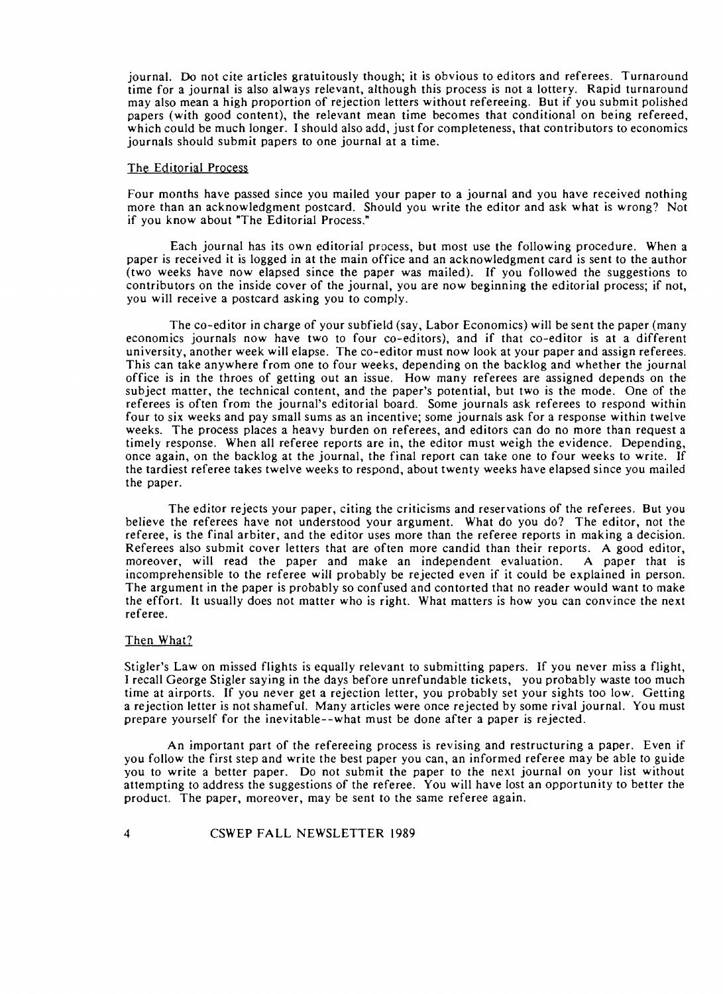journal. Do not cite articles gratuitously though; it is obvious to editors and referees. Turnaround time for a journal is also always relevant, although this process is not a lottery. Rapid turnaround may also mean a high proportion of rejection letters without refereeing. But if you submit polished papers (with good content), the relevant mean time becomes that conditional on being refereed, which could be much longer. I should also add, just for completeness, that contributors to economics journals should submit papers to one journal at a time.

### The Editorial Process

Four months have passed since you mailed your paper to a journal and you have received nothing more than an acknowledgment postcard. Should you write the editor and ask what is wrong? Not if you know about "The Editorial Process."

Each journal has its own editorial process, but most use the following procedure. When a paper is received it is logged in at the main office and an acknowledgment card is sent to the author (two weeks have now elapsed since the paper was mailed). If you followed the suggestions to contributors on the inside cover of the journal, you are now beginning the editorial process; if not, you will receive a postcard asking you to comply.

The co-editor in charge of your subfield (say, Labor Economics) will be sent the paper (many economics journals now have two to four co-editors), and if that co-editor is at a different university, another week will elapse. The co-editor must now look at your paper and assign referees. This can take anywhere from one to four weeks, depending on the backlog and whether the journal office is in the throes of getting out an issue. How many referees are assigned depends on the subject matter, the technical content, and the paper's potential, but two is the mode. One of the referees is often from the journal's editorial board. Some journals ask referees to respond within four to six weeks and pay small sums as an incentive; some journals ask for a response within twelve weeks. The process places a heavy burden on referees, and editors can do no more than request a timely response. When all referee reports are in, the editor must weigh the evidence. Depending, once again, on the backlog at the journal, the final report can take one to four weeks to write. If the tardiest referee takes twelve weeks to respond, about twenty weeks have elapsed since you mailed the paper.

The editor rejects your paper, citing the criticisms and reservations of the referees. But you believe the referees have not understood your argument. What do you do? The editor, not the referee, is the final arbiter, and the editor uses more than the referee reports in making a decision. Referees also submit cover letters that are often more candid than their reports. A good editor, moreover, will read the paper and make an independent evaluation. A paper that is moreover, will read the paper and make an independent evaluation. incomprehensible to the referee will probably be rejected even if it could be explained in person. The argument in the paper is probably so confused and contorted that no reader would want to make the effort. It usually does not matter who is right. What matters is how you can convince the next referee.

### Then What?

 $\overline{4}$ 

Stigler's Law on missed flights is equally relevant to submitting papers. If you never miss a flight, I recall George Stigler saying in the days before unrefundable tickets, you probably waste too much time at airports. If you never get a rejection letter, you probably set your sights too low. Getting a rejection letter is not shameful. Many articles were once rejected by some rival journal. You must prepare yourself for the inevitable--what must be done after a paper is rejected.

An important part of the refereeing process is revising and restructuring a paper. Even if you follow the first step and write the best paper you can, an informed referee may be able to guide you to write a better paper. Do not submit the paper to the next journal on your list without attempting to address the suggestions of the referee. You will have lost an opportunity to better the product. The paper, moreover, may be sent to the same referee again.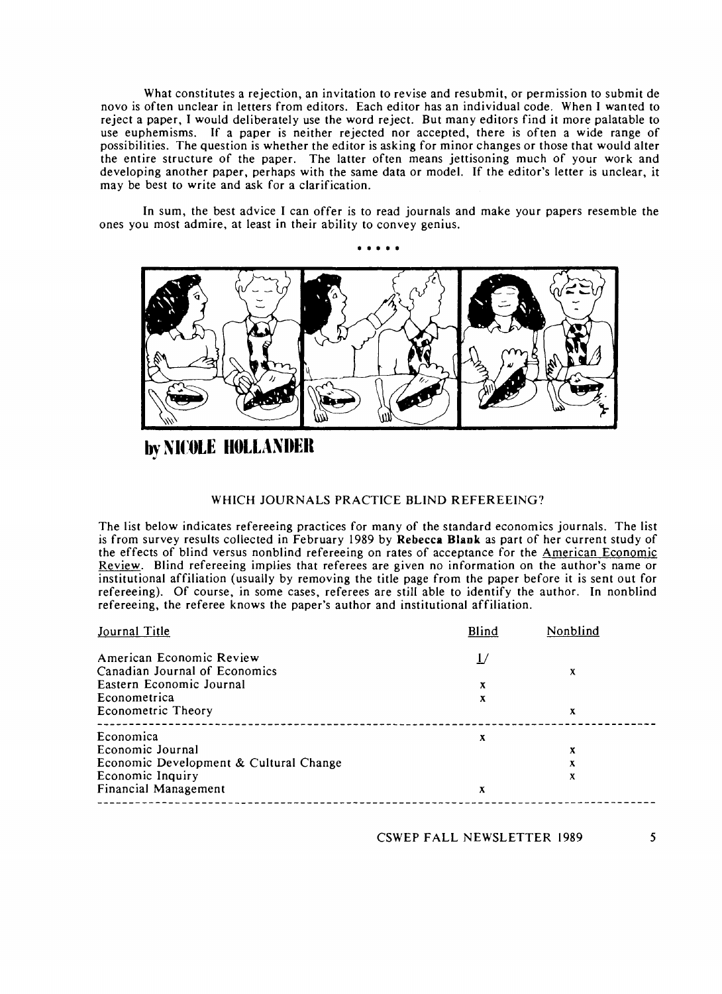What constitutes a rejection, an invitation to revise and resubmit, or permission to submit de novo is often unclear in letters from editors. Each editor has an individual code. When I wanted to reject a paper, I would deliberately use the word reject. But many editors find it more palatable to use euphemisms. If a paper is neither rejected nor accepted, there is often a wide range of possibilities. The question is whether the editor is asking for minor changes or those that would alter the entire structure of the paper. The latter often means jettisoning much of your work and developing another paper, perhaps with the same data or model. If the editor's letter is unclear, it may be best to write and ask for a clarification.

In sum, the best advice I can offer is to read journals and make your papers resemble the ones you most admire, at least in their ability to convey genius.



**by NICOLE HOLLANDER** 

### WHICH JOURNALS PRACTICE BLIND REFEREEING?

The list below indicates refereeing practices for many of the standard economics journals. The list is from survey results collected in February 1989 by **Rebecca Blank** as part of her current study of the effects of blind versus nonblind refereeing on rates of acceptance for the American Economic Review. Blind refereeing implies that referees are given no information on the author's name or institutional affiliation (usually by removing the title page from the paper before it is sent out for refereeing). Of course, in some cases, referees are still able to identify the author. In nonblind refereeing, the referee knows the paper's author and institutional affiliation. the effects of blind versus nonblind refereeing on rates of acceptance for the <u>American</u><br>
<u>Review</u>. Blind refereeing implies that referees are given no information on the author'<br>
institutional affiliation (usually by rem

| X |
|---|
|   |
|   |
| x |
|   |
| х |
| x |
| x |
|   |
|   |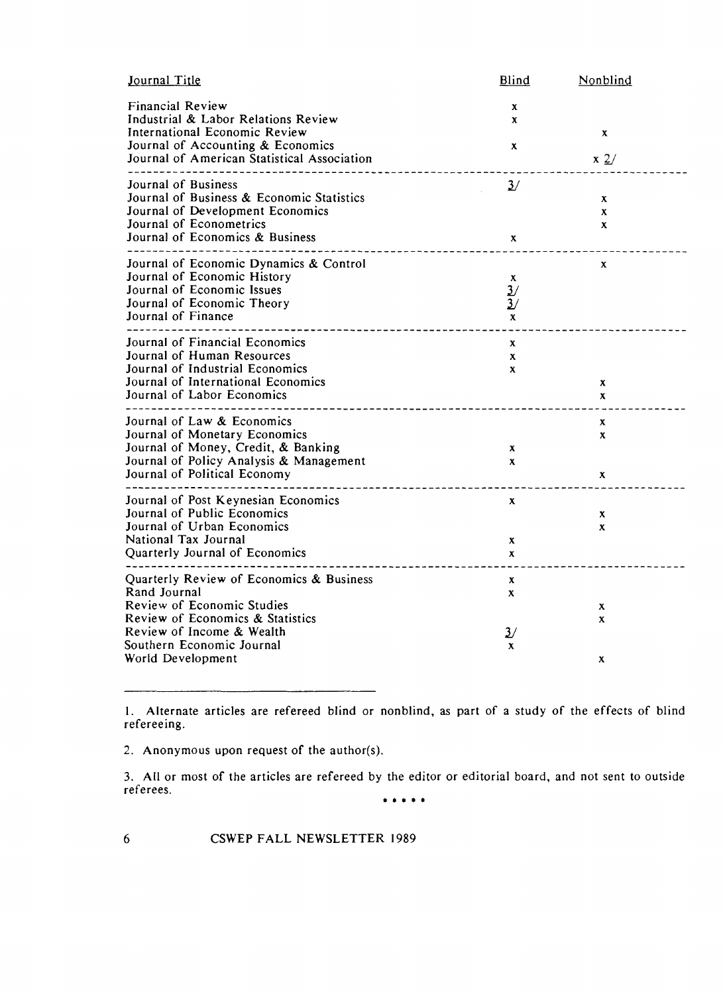| Blind                                                                      | Nonblind                                     |
|----------------------------------------------------------------------------|----------------------------------------------|
| x<br>x<br>$\mathbf{x}$                                                     | $\mathbf{x}$<br>$\mathbf{x}$ 2/              |
| $\frac{3}{2}$<br>$\mathbf x$                                               | x<br>$\mathbf{x}$<br>x                       |
| $\boldsymbol{\mathrm{X}}$<br>$\frac{3}{2}$<br>$\frac{3}{2}$<br>$\mathbf x$ | x                                            |
| X<br>$\mathbf{x}$<br>$\mathbf{x}$                                          | $\mathbf{x}$<br>$\mathbf{x}$                 |
| $\mathbf{x}$<br>$\mathbf{x}$                                               | $\mathbf{x}$<br>$\mathbf{x}$<br>$\mathbf{x}$ |
| $\mathbf{x}$<br>$\mathbf{x}$<br>$\mathbf{x}$                               | x<br>X                                       |
| X<br>$\mathbf{x}$<br>$\mathbf{3}$<br>X                                     | X<br>X<br>x                                  |
|                                                                            |                                              |

1. Alternate articles are refereed blind or nonblind, as part of a study of the effects of blind refereeing.

2. Anonymous upon request of the author(s).

**3.** All or most of the articles are refereed by the editor or editorial board, and not sent to outside referees.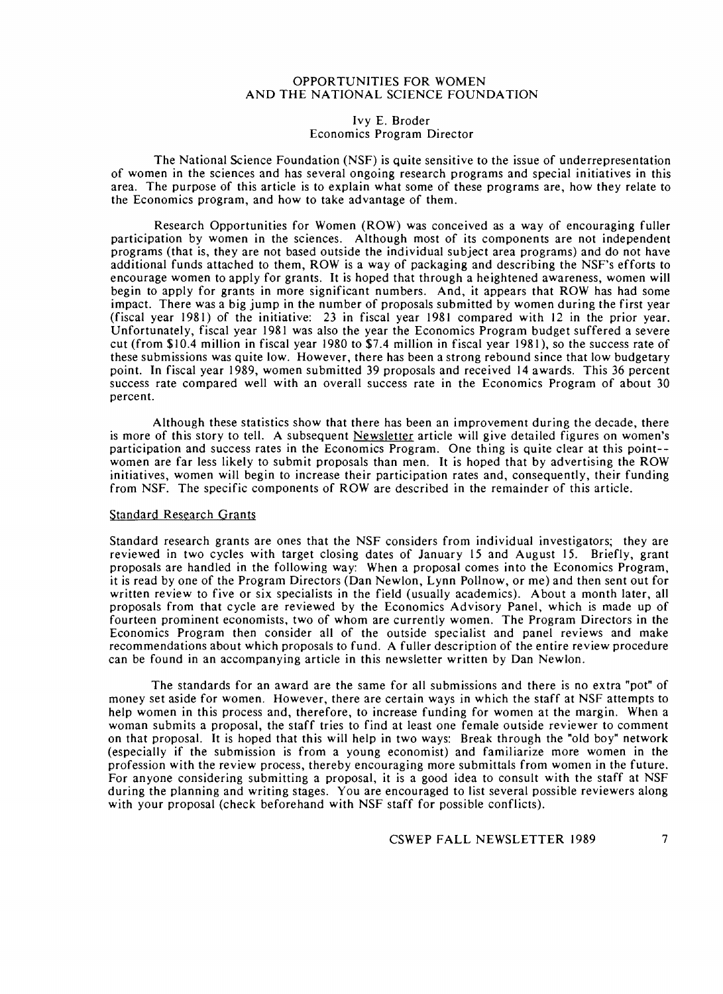### OPPORTUNITIES FOR WOMEN AND THE NATIONAL SCIENCE FOUNDATION

### Ivy E. Broder Economics Program Director

The National Science Foundation (NSF) is quite sensitive to the issue of underrepresentation of women in the sciences and has several ongoing research programs and special initiatives in this area. The purpose of this article is to explain what some of these programs are, how they relate to the Economics program, and how to take advantage of them.

Research Opportunities for Women (ROW) was conceived as a way of encouraging fuller participation by women in the sciences. Although most of its components are not independent programs (that is, they are not based outside the individual subject area programs) and do not have additional funds attached to them, ROW is a way of packaging and describing the NSF's efforts to encourage women to apply for grants. It is hoped that through a heightened awareness, women will begin to apply for grants in more significant numbers. And, it appears that ROW has had some impact. There was a big jump in the number of proposals submitted by women during the first year (fiscal year 1981) of the initiative: 23 in fiscal year 1981 compared with 12 in the prior year. Unfortunately, fiscal year 1981 was also the year the Economics Program budget suffered a severe cut (from \$10.4 million in fiscal year 1980 to \$7.4 million in fiscal year 1981), so the success rate of these submissions was quite low. However, there has been a strong rebound since that low budgetary point. In fiscal year 1989, women submitted 39 proposals and received 14 awards. This *36* percent success rate compared well with an overall success rate in the Economics Program of about 30 percent.

Although these statistics show that there has been an improvement during the decade, there is more of this story to tell. A subsequent Newsletter article will give detailed figures on women's participation and success rates in the Economics Program. One thing is quite clear at this point- women are far less likely to submit proposals than men. It is hoped that by advertising the ROW initiatives, women will begin to increase their participation rates and, consequently, their funding from NSF. The specific components of ROW are described in the remainder of this article.

### Standard Research Grants

Standard research grants are ones that the NSF considers from individual investigators; they are reviewed in two cycles with target closing dates of January I5 and August 15. Briefly, grant proposals are handled in the following way: When a proposal comes into the Economics Program, it is read by one of the Program Directors (Dan Newlon, Lynn Pollnow, or me) and then sent out for written review to five or six specialists in the field (usually academics). About a month later, all proposals from that cycle are reviewed by the Economics Advisory Panel, which is made up of fourteen prominent economists. two of whom are currently women. The Program Directors in the Economics Program then consider all of the outside specialist and panel reviews and make recommendations about which proposals to fund. A fuller description of the entire review procedure can be found in an accompanying article in this newsletter written by Dan Newlon.

The standards for an award are the same for all submissions and there is no extra "pot" of money set aside for women. However, there are certain ways in which the staff at NSF attempts to help women in this process and, therefore, to increase funding for women at the margin. When a woman submits a proposal, the staff tries to find at least one female outside reviewer to comment on that proposal. It is hoped that this will help in two ways: Break through the "old boy" network (especially if the submission is from a young economist) and familiarize more women in the profession with the review process, thereby encouraging more submittals from women in the future. For anyone considering submitting a proposal, it is a good idea to consult with the staff at NSF during the planning and writing stages. You are encouraged to list several possible reviewers along with your proposal (check beforehand with NSF staff for possible conflicts).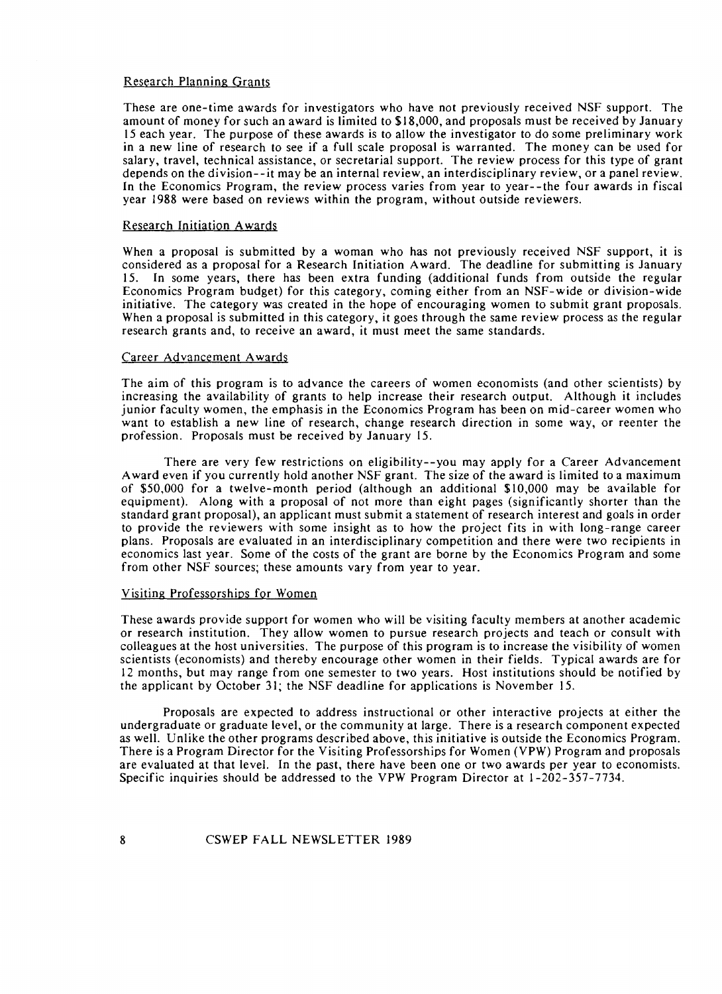### Research Planning Grants

These are one-time awards for investigators who have not previously received NSF support. The amount of money for such an award is limited to \$18,000, and proposals must be received by January 15 each year. The purpose of these awards is to allow the investigator to do some preliminary work in a new line of research to see if a full scale proposal is warranted. The money can be used for salary, travel, technical assistance, or secretarial support. The review process for this type of grant depends on the division--it may be an internal review, an interdisciplinary review, or a panel review. In the Economics Program, the review process varies from year to year--the four awards in fiscal year 1988 were based on reviews within the program, without outside reviewers.

### Research Initiation Awards

When a proposal is submitted by a woman who has not previously received NSF support, it is considered as a proposal for a Research Initiation Award. The deadline for submitting is January 15. In some years, there has been extra funding (additional funds from outside the regular Economics Program budget) for this category, coming either from an NSF-wide or division-wide initiative. The category was created in the hope of encouraging women to submit grant proposals. When a proposal is submitted in this category, it goes through the same review process as the regular research grants and, to receive an award, it must meet the same standards.

#### Career Advancement Awards

The aim of this program is to advance the careers of women economists (and other scientists) by increasing the availability of grants to help increase their research output. Although it includes junior faculty women, the emphasis in the Economics Program has been on mid-career women who want to establish a new line of research, change research direction in some way, or reenter the profession. Proposals must be received by January 15.

There are very few restrictions on eligibility--you may apply for a Career Advancement Award even if you currently hold another NSF grant. The size of the award is limited to a maximum of \$50,000 for a twelve-month period (although an additional \$10,000 may be available for equipment). Along with a proposal of not more than eight pages (significantly shorter than the standard grant proposal), an applicant must submit a statement of research interest and goals in order to provide the reviewers with some insight as to how the project fits in with long-range career plans. Proposals are evaluated in an interdisciplinary competition and there were two recipients in economics last year. Some of the costs of the grant are borne by the Economics Program and some from other NSF sources; these amounts vary from year to year.

### Visiting Professorships for Women

These awards provide support for women who will be visiting faculty members at another academic or research institution. They allow women to pursue research projects and teach or consult with colleagues at the host universities. The purpose of this program is to increase the visibility of women scientists (economists) and thereby encourage other women in their fields. Typical awards are for 12 months, but may range from one semester to two years. Host institutions should be notified by the applicant by October 31; the NSF deadline for applications is November 15.

Proposals are expected to address instructional or other interactive projects at either the undergraduate or graduate level, or the community at large. There is a research component expected as well. Unlike the other programs described above, this initiative is outside the Economics Program. There is a Program Director for the Visiting Professorships for Women (VPW) Program and proposals are evaluated at that level. In the past, there have been one or two awards per year to economists. Specific inquiries should be addressed to the VPW Program Director at 1-202-357-7734.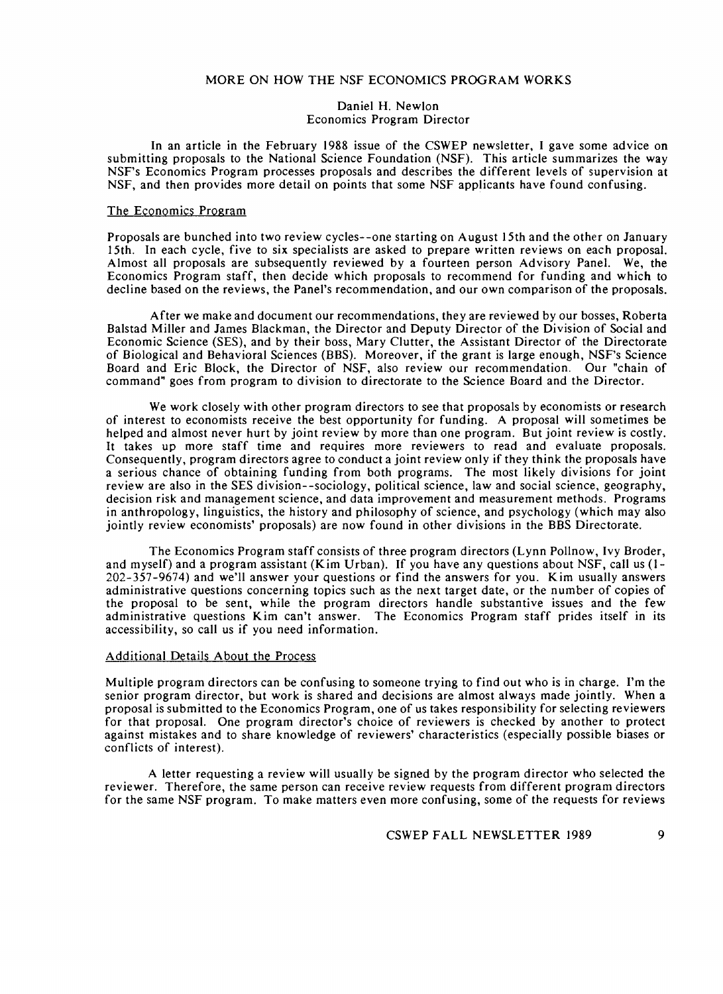### MORE ON HOW THE NSF ECONOMICS PROGRAM WORKS

#### Daniel H. Newlon Economics Program Director

In an article in the February 1988 issue of the CSWEP newsletter, I gave some advice on submitting proposals to the National Science Foundation (NSF). This article summarizes the way NSF's Economics Program processes proposals and describes the different levels of supervision at NSF, and then provides more detail on points that some NSF applicants have found confusing.

#### The Economics Program

Proposals are bunched into two review cycles--one starting on August 15th and the other on January 15th. In each cycle, five to six specialists are asked to prepare written reviews on each proposal. Almost all proposals are subsequently reviewed by a fourteen person Advisory Panel. We, the Economics Program staff, then decide which proposals to recommend for funding and which to decline based on the reviews, the Panel's recommendation, and our own comparison of the proposals.

After we make and document our recommendations, they are reviewed by our bosses, Roberta Balstad Miller and James Blackman, the Director and Deputy Director of the Division of Social and Economic Science (SES), and by their boss, Mary Clutter, the Assistant Director of the Directorate of Biological and Behavioral Sciences (BBS). Moreover, if the grant is large enough, NSF's Science Board and Eric Block, the Director of NSF, also review our recommendation. Our "chain of command" goes from program to division to directorate to the Science Board and the Director.

We work closely with other program directors to see that proposals by economists or research of interest to economists receive the best opportunity for funding. A proposal will sometimes be helped and almost never hurt by joint review by more than one program. But joint review is costly. It takes up more staff time and requires more reviewers to read and evaluate proposals. Consequently, program directors agree to conduct a joint review only if they think the proposals have a serious chance of obtaining funding from both programs. The most likely divisions for joint review are also in the SES division--sociology, political science, law and social science, geography, decision risk and management science, and data improvement and measurement methods. Programs in anthropology, linguistics, the history and philosophy of science, and psychology (which may also jointly review economists' proposals) are now found in other divisions in the BBS Directorate.

The Economics Program staff consists of three program directors (Lynn Pollnow, Ivy Broder, and myself) and a program assistant (Kim Urban). If you have any questions about NSF, call us (l-202-357-9674) and we'll answer your questions or find the answers for you. Kim usually answers administrative questions concerning topics such as the next target date, or the number of copies of the proposal to be sent, while the program directors handle substantive issues and the few administrative questions Kim can't answer. The Economics Program staff prides itself in its accessibility, so call us if you need information.

#### Additional Details About the Process

Multiple program directors can be confusing to someone trying to find out who is in charge. I'm the senior program director, but work is shared and decisions are almost always made jointly. When a proposal is submitted to the Economics Program, one of us takes responsibility for selecting reviewers for that proposal. One program director's choice of reviewers is checked by another to protect against mistakes and to share knowledge of reviewers' characteristics (especially possible biases or conflicts of interest).

A letter requesting a review will usually be signed by the program director who selected the reviewer. Therefore, the same person can receive review requests from different program directors for the same NSF program. To make matters even more confusing, some of the requests for reviews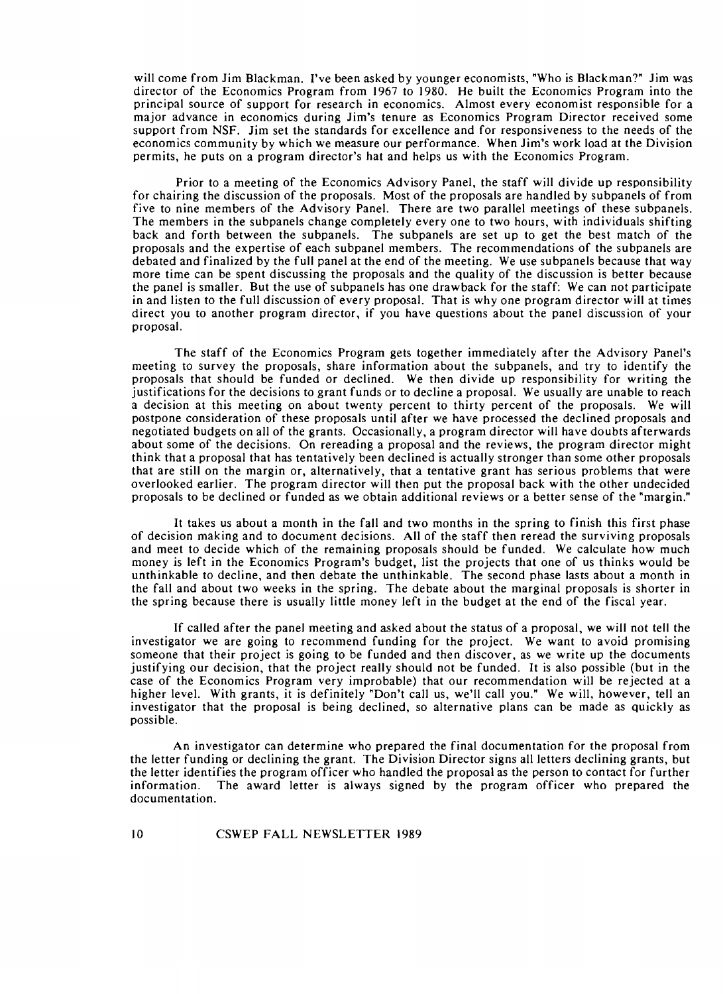will come from Jim Blackman. I've been asked by younger economists, "Who is Blackman?" Jim was director of the Economics Program from 1967 to 1980. He built the Economics Program into the principal source of support for research in economics. Almost every economist responsible for a major advance in economics during Jim's tenure as Economics Program Director received some support from NSF. Jim set the standards for excellence and for responsiveness to the needs of the economics community by which we measure our performance. When Jim's work load at the Division permits, he puts on a program director's hat and helps us with the Economics Program.

Prior to a meeting of the Economics Advisory Panel, the staff will divide up responsibility for chairing the discussion of the proposals. Most of the proposals are handled by subpanels of from five to nine members of the Advisory Panel. There are two parallel meetings of these subpanels. The members in the subpanels change completely every one to two hours, with individuals shifting back and forth between the subpanels. The subpanels are set up to get the best match of the proposals and the expertise of each subpanel members. The recommendations of the subpanels are debated and finalized by the full panel at the end of the meeting. We use subpanels because that way more time can be spent discussing the proposals and the quality of the discussion is better because the panel is smaller. But the use of subpanels has one drawback for the staff: We can not participate in and listen to the full discussion of every proposal. That is why one program director will at times direct you to another program director, if you have questions about the panel discussion of your proposal.

The staff of the Economics Program gets together immediately after the Advisory Panel's meeting to survey the proposals, share information about the subpanels, and try to identify the proposals that should be funded or declined. We then divide up responsibility for writing the justifications for the decisions to grant funds or to decline a proposal. We usually are unable to reach a decision at this meeting on about twenty percent to thirty percent of the proposals. We will postpone consideration of these proposals until after we have processed the declined proposals and negotiated budgets on all of the grants. Occasionally, a program director will have doubts afterwards about some of the decisions. On rereading a proposal and the reviews, the program director might think that a proposal that has tentatively been declined is actually stronger than some other proposals that are still on the margin or, alternatively, that a tentative grant has serious problems that were overlooked earlier. The program director will then put the proposal back with the other undecided proposals to be declined or funded as we obtain additional reviews or a better sense of the "margin."

It takes us about a month in the fall and two months in the spring to finish this first phase of decision making and to document decisions. All of the staff then reread the surviving proposals and meet to decide which of the remaining proposals should be funded. We calculate how much money is left in the Economics Program's budget, list the projects that one of us thinks would be unthinkable to decline, and then debate the unthinkable. The second phase lasts about a month in the fall and about two weeks in the spring. The debate about the marginal proposals is shorter in the spring because there is usually little money left in the budget at the end of the fiscal year.

If called after the panel meeting and asked about the status of a proposal, we will not tell the investigator we are going to recommend funding for the project. We want to avoid promising someone that their project is going to be funded and then discover, as we write up the documents justifying our decision, that the project really should not be funded. It is also possible (but in the case of the Economics Program very improbable) that our recommendation will be rejected at a higher level. With grants, it is definitely "Don't call us, we'll call you." We will, however, tell an investigator that the proposal is being declined, so alternative plans can be made as quickly as possible.

An investigator can determine who prepared the final documentation for the proposal from the letter funding or declining the grant. The Division Director signs all letters declining grants, but the letter identifies the program officer who handled the proposal as the person to contact for further information. The award letter is always signed by the program officer who prepared the documentation.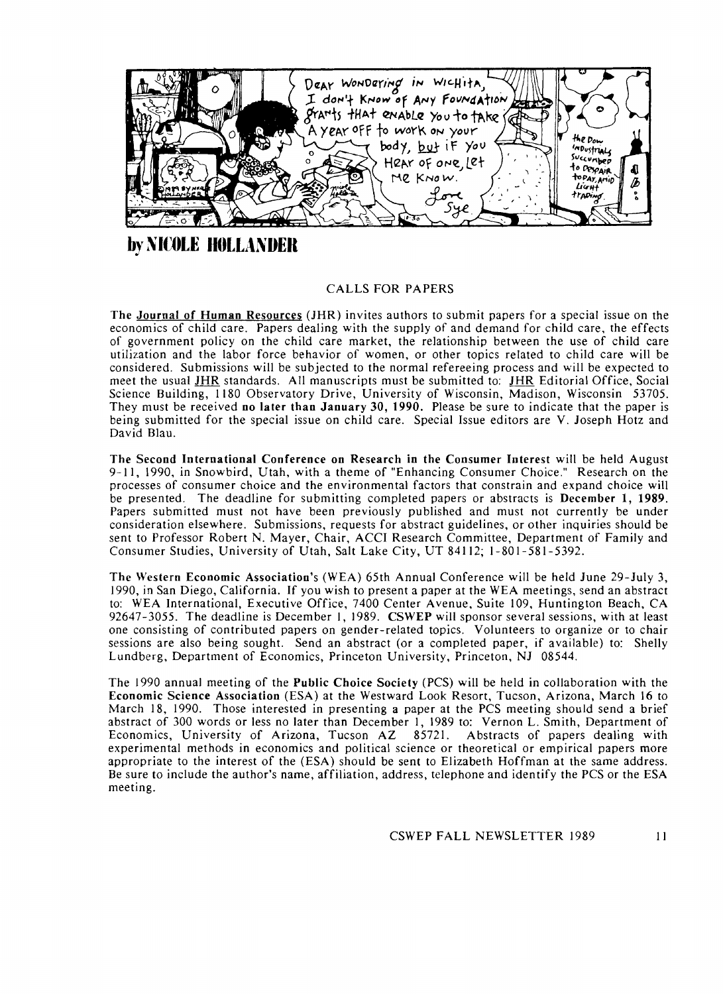

**by NICOLE HOLLANDER** 

# CALLS FOR PAPERS

The Journal of Human Resources (JHR) invites authors to submit papers for a special issue on the economics of child care. Papers dealing with the supply of and demand for child care, the effects of government policy on the child care market, the relationship between the use of child care utilization and the labor force behavior of women, or other topics related to child care will be considered. Submissions will be subjected to the normal refereeing process and will be expected to meet the usual **JHR** standards. All manuscripts must be submitted to: JHR Editorial Office, Social Science Building, 1180 Observatory Drive, University of Wisconsin, Madison, Wisconsin 53705. They must be received no later than January **30, 1990.** Please be sure to indicate that the paper is being submitted for the special issue on child care. Special Issue editors are V. Joseph Hotz and David Blau.

The Second International Conference on Research in the Consumer Interest will be held August 9-11, 1990, in Snowbird, Utah, with a theme of "Enhancing Consumer Choice." Research on the processes of consumer choice and the environmental factors that constrain and expand choice will be presented. The deadline for submitting completed papers or abstracts is December **1, 1989.**  Papers submitted must not have been previously published and must not currently be under consideration elsewhere. Submissions, requests for abstract guidelines, or other inquiries should be sent to Professor Robert N. Mayer, Chair, ACCI Research Committee, Department of Family and Consumer Studies, University of Utah, Salt Lake City, UT 841 12; 1-80 1-58 1-5392.

The Western Economic Association's (WEA) 65th Annual Conference will be held June 29-July **3,**  1990, in San Diego, California. If you wish to present a paper at the WEA meetings, send an abstract to: WEA International, Executive Office, 7400 Center Avenue, Suite 109, Huntington Beach, CA 92647-3055. The deadline is December 1, 1989. CSWEP will sponsor several sessions, with at least one consisting of contributed papers on gender-related topics. Volunteers to organize or to chair sessions are also being sought. Send an abstract (or a completed paper, if available) to: Shelly Lundberg, Department of Economics, Princeton University, Princeton, NJ 08544.

The 1990 annual meeting of the Public Choice Society (PCS) will be held in collaboration with the Economic Science Association (ESA) at the Westward Look Resort, Tucson, Arizona, March 16 to March 18, 1990. Those interested in presenting a paper at the PCS meeting should send a brief abstract of 300 words or less no later than December 1, 1989 to: Vernon L. Smith, Department of Economics, University of Arizona, Tucson AZ 85721. Abstracts of papers dealing with Economics, University of Arizona, Tucson AZ 85721. experimental methods in economics and political science or theoretical or empirical papers more appropriate to the interest of the (ESA) should be sent to Elizabeth Hoffman at the same address. Be sure to include the author's name, affiliation, address, telephone and identify the PCS or the ESA meeting.